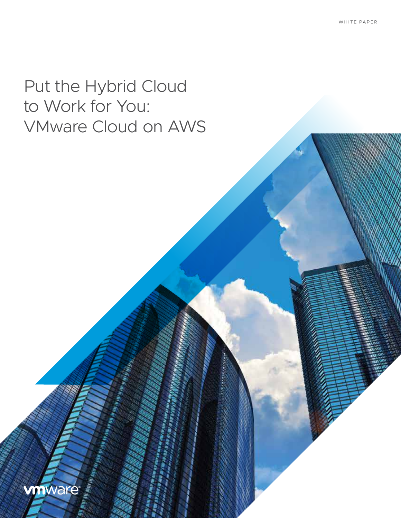# Put the Hybrid Cloud to Work for You: VMware Cloud on AWS

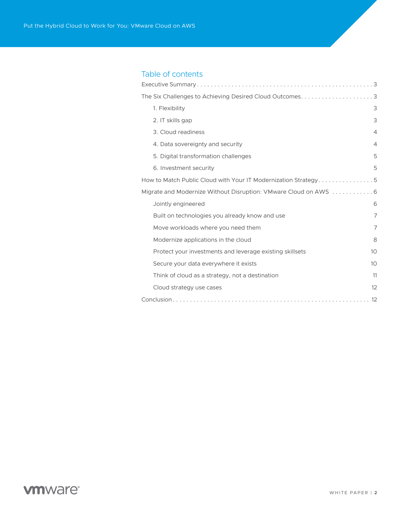# Table of contents

| 1. Flexibility                                                   | 3              |
|------------------------------------------------------------------|----------------|
| 2. IT skills gap                                                 | 3              |
| 3. Cloud readiness                                               | $\overline{4}$ |
| 4. Data sovereignty and security                                 | $\overline{4}$ |
| 5. Digital transformation challenges                             | 5              |
| 6. Investment security                                           | 5              |
| How to Match Public Cloud with Your IT Modernization Strategy. 5 |                |
| Migrate and Modernize Without Disruption: VMware Cloud on AWS 6  |                |
| Jointly engineered                                               | 6              |
| Built on technologies you already know and use                   | 7              |
| Move workloads where you need them                               | 7              |
| Modernize applications in the cloud                              | 8              |
| Protect your investments and leverage existing skillsets         | 10             |
| Secure your data everywhere it exists                            | 10             |
| Think of cloud as a strategy, not a destination                  | 11             |
| Cloud strategy use cases                                         | 12             |
|                                                                  |                |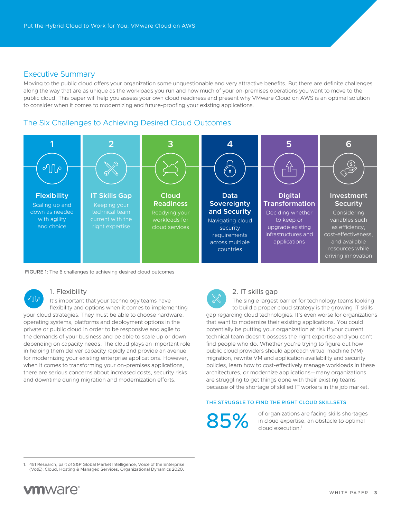#### <span id="page-2-0"></span>Executive Summary

Moving to the public cloud offers your organization some unquestionable and very attractive benefits. But there are definite challenges along the way that are as unique as the workloads you run and how much of your on-premises operations you want to move to the public cloud. This paper will help you assess your own cloud readiness and present why VMware Cloud on AWS is an optimal solution to consider when it comes to modernizing and future-proofing your existing applications.

### The Six Challenges to Achieving Desired Cloud Outcomes



#### FIGURE 1: The 6 challenges to achieving desired cloud outcomes

#### 1. Flexibility

 $\sqrt{10}$ It's important that your technology teams have flexibility and options when it comes to implementing your cloud strategies. They must be able to choose hardware, operating systems, platforms and deployment options in the private or public cloud in order to be responsive and agile to the demands of your business and be able to scale up or down depending on capacity needs. The cloud plays an important role in helping them deliver capacity rapidly and provide an avenue for modernizing your existing enterprise applications. However, when it comes to transforming your on-premises applications, there are serious concerns about increased costs, security risks and downtime during migration and modernization efforts.



#### 2. IT skills gap

The single largest barrier for technology teams looking to build a proper cloud strategy is the growing IT skills gap regarding cloud technologies. It's even worse for organizations that want to modernize their existing applications. You could potentially be putting your organization at risk if your current technical team doesn't possess the right expertise and you can't find people who do. Whether you're trying to figure out how public cloud providers should approach virtual machine (VM) migration, rewrite VM and application availability and security policies, learn how to cost-effectively manage workloads in these architectures, or modernize applications—many organizations are struggling to get things done with their existing teams because of the shortage of skilled IT workers in the job market.

#### THE STRUGGLE TO FIND THE RIGHT CLOUD SKILLSETS

of organizations are facing skills shortages in cloud expertise, an obstacle to optimal 85% in cloud expertise

1. 451 Research, part of S&P Global Market Intelligence, Voice of the Enterprise (VotE): Cloud, Hosting & Managed Services, Organizational Dynamics 2020.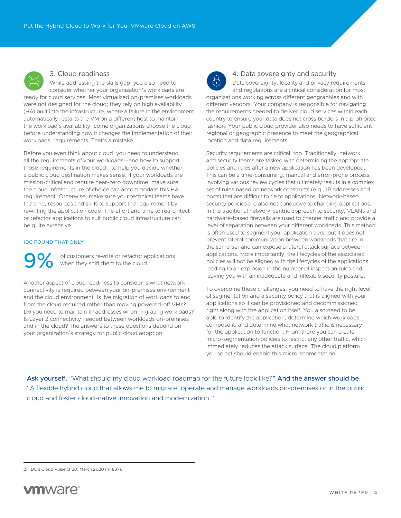<span id="page-3-0"></span>

#### 3. Cloud readiness

While addressing the skills gap, you also need to consider whether your organization's workloads are ready for cloud services. Most virtualized on‑premises workloads were not designed for the cloud; they rely on high availability (HA) built into the infrastructure, where a failure in the environment automatically restarts the VM on a different host to maintain the workload's availability. Some organizations choose the cloud before understanding how it changes the implementation of their workloads' requirements. That's a mistake.

Before you even think about cloud, you need to understand all the requirements of your workloads—and how to support those requirements in the cloud—to help you decide whether a public cloud destination makes sense. If your workloads are mission‑critical and require near‑zero downtime, make sure the cloud infrastructure of choice can accommodate this HA requirement. Otherwise, make sure your technical teams have the time, resources and skills to support the requirement by rewriting the application code. The effort and time to rearchitect or refactor applications to suit public cloud infrastructure can be quite extensive.

#### IDC FOUND THAT ONLY

**OC** of customers rewrite or refactor applications when they shift them to the cloud.<sup>2</sup>

Another aspect of cloud readiness to consider is what network connectivity is required between your on‑premises environment and the cloud environment. Is live migration of workloads to and from the cloud required rather than moving powered-off VMs? Do you need to maintain IP addresses when migrating workloads? Is Layer 2 connectivity needed between workloads on‑premises and in the cloud? The answers to these questions depend on your organization's strategy for public cloud adoption.



#### 4. Data sovereignty and security

Data sovereignty, locality and privacy requirements and regulations are a critical consideration for most organizations working across different geographies and with different vendors. Your company is responsible for navigating the requirements needed to deliver cloud services within each country to ensure your data does not cross borders in a prohibited fashion. Your public cloud provider also needs to have sufficient regional or geographic presence to meet the geographical location and data requirements.

Security requirements are critical, too. Traditionally, network and security teams are tasked with determining the appropriate policies and rules after a new application has been developed. This can be a time-consuming, manual and error-prone process involving various review cycles that ultimately results in a complex set of rules based on network constructs (e.g., IP addresses and ports) that are difficult to tie to applications. Network-based security policies are also not conducive to changing applications. In the traditional network‑centric approach to security, VLANs and hardware-based firewalls are used to channel traffic and provide a level of separation between your different workloads. This method is often used to segment your application tiers, but it does not prevent lateral communication between workloads that are in the same tier and can expose a lateral attack surface between applications. More importantly, the lifecycles of the associated policies will not be aligned with the lifecycles of the applications, leading to an explosion in the number of inspection rules and leaving you with an inadequate and inflexible security posture.

To overcome these challenges, you need to have the right level of segmentation and a security policy that is aligned with your applications so it can be provisioned and decommissioned right along with the application itself. You also need to be able to identify the application, determine which workloads compose it, and determine what network traffic is necessary for the application to function. From there you can create micro‑segmentation policies to restrict any other traffic, which immediately reduces the attack surface. The cloud platform you select should enable this micro‑segmentation.

Ask yourself, "What should my cloud workload roadmap for the future look like?" And the answer should be, "A flexible hybrid cloud that allows me to migrate, operate and manage workloads on‑premises or in the public cloud and foster cloud‑native innovation and modernization."

<sup>2.</sup> IDC's Cloud Pulse Q120, March 2020 (n=837).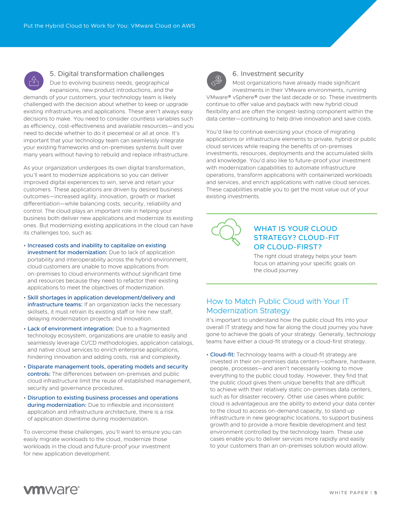<span id="page-4-0"></span>

#### 5. Digital transformation challenges

Due to evolving business needs, geographical expansions, new product introductions, and the demands of your customers, your technology team is likely challenged with the decision about whether to keep or upgrade existing infrastructures and applications. These aren't always easy decisions to make. You need to consider countless variables such as efficiency, cost-effectiveness and available resources—and you need to decide whether to do it piecemeal or all at once. It's important that your technology team can seamlessly integrate your existing frameworks and on‑premises systems built over many years without having to rebuild and replace infrastructure.

As your organization undergoes its own digital transformation, you'll want to modernize applications so you can deliver improved digital experiences to win, serve and retain your customers. These applications are driven by desired business outcomes—increased agility, innovation, growth or market differentiation—while balancing costs, security, reliability and control. The cloud plays an important role in helping your business both deliver new applications and modernize its existing ones. But modernizing existing applications in the cloud can have its challenges too, such as:

- Increased costs and inability to capitalize on existing investment for modernization: Due to lack of application portability and interoperability across the hybrid environment, cloud customers are unable to move applications from on‑premises to cloud environments without significant time and resources because they need to refactor their existing applications to meet the objectives of modernization.
- Skill shortages in application development/delivery and infrastructure teams: If an organization lacks the necessary skillsets, it must retrain its existing staff or hire new staff, delaying modernization projects and innovation.
- Lack of environment integration: Due to a fragmented technology ecosystem, organizations are unable to easily and seamlessly leverage CI/CD methodologies, application catalogs, and native cloud services to enrich enterprise applications, hindering innovation and adding costs, risk and complexity.
- Disparate management tools, operating models and security controls: The differences between on‑premises and public cloud infrastructure limit the reuse of established management, security and governance procedures.
- Disruption to existing business processes and operations during modernization: Due to inflexible and inconsistent application and infrastructure architecture, there is a risk of application downtime during modernization.

To overcome these challenges, you'll want to ensure you can easily migrate workloads to the cloud, modernize those workloads in the cloud and future‑proof your investment for new application development.



#### 6. Investment security

Most organizations have already made significant investments in their VMware environments, running VMware® vSphere® over the last decade or so. These investments continue to offer value and payback with new hybrid cloud flexibility and are often the longest-lasting component within the data center—continuing to help drive innovation and save costs.

You'd like to continue exercising your choice of migrating applications or infrastructure elements to private, hybrid or public cloud services while reaping the benefits of on‑premises investments, resources, deployments and the accumulated skills and knowledge. You'd also like to future‑proof your investment with modernization capabilities to automate infrastructure operations, transform applications with containerized workloads and services, and enrich applications with native cloud services. These capabilities enable you to get the most value out of your existing investments.



# WHAT IS YOUR CLOUD **STRATEGY? CLOUD-FIT** OR CLOUD‑FIRST?

The right cloud strategy helps your team focus on attaining your specific goals on the cloud journey.

# How to Match Public Cloud with Your IT Modernization Strategy

It's important to understand how the public cloud fits into your overall IT strategy and how far along the cloud journey you have gone to achieve the goals of your strategy. Generally, technology teams have either a cloud-fit strategy or a cloud-first strategy.

• Cloud-fit: Technology teams with a cloud-fit strategy are invested in their on‑premises data centers—software, hardware, people, processes—and aren't necessarily looking to move everything to the public cloud today. However, they find that the public cloud gives them unique benefits that are difficult to achieve with their relatively static on-premises data centers, such as for disaster recovery. Other use cases where public cloud is advantageous are the ability to extend your data center to the cloud to access on-demand capacity, to stand up infrastructure in new geographic locations, to support business growth and to provide a more flexible development and test environment controlled by the technology team. These use cases enable you to deliver services more rapidly and easily to your customers than an on‑premises solution would allow.

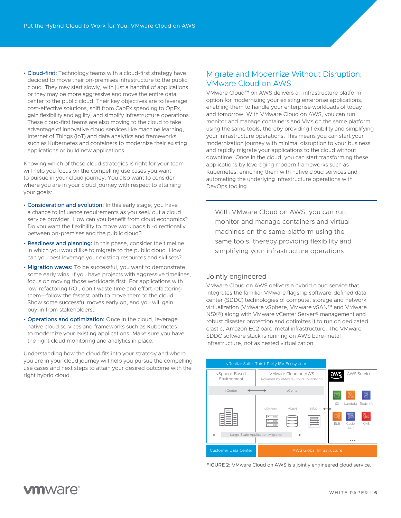<span id="page-5-0"></span>• Cloud-first: Technology teams with a cloud-first strategy have decided to move their on-premises infrastructure to the public cloud. They may start slowly, with just a handful of applications, or they may be more aggressive and move the entire data center to the public cloud. Their key objectives are to leverage cost-effective solutions, shift from CapEx spending to OpEx, gain flexibility and agility, and simplify infrastructure operations. These cloud-first teams are also moving to the cloud to take advantage of innovative cloud services like machine learning, Internet of Things (IoT) and data analytics and frameworks such as Kubernetes and containers to modernize their existing applications or build new applications.

Knowing which of these cloud strategies is right for your team will help you focus on the compelling use cases you want to pursue in your cloud journey. You also want to consider where you are in your cloud journey with respect to attaining your goals:

- Consideration and evolution: In this early stage, you have a chance to influence requirements as you seek out a cloud service provider. How can you benefit from cloud economics? Do you want the flexibility to move workloads bi-directionally between on‑premises and the public cloud?
- Readiness and planning: In this phase, consider the timeline in which you would like to migrate to the public cloud. How can you best leverage your existing resources and skillsets?
- Migration waves: To be successful, you want to demonstrate some early wins. If you have projects with aggressive timelines, focus on moving those workloads first. For applications with low‑refactoring ROI, don't waste time and effort refactoring them—follow the fastest path to move them to the cloud. Show some successful moves early on, and you will gain buy‑in from stakeholders.
- Operations and optimization: Once in the cloud, leverage native cloud services and frameworks such as Kubernetes to modernize your existing applications. Make sure you have the right cloud monitoring and analytics in place.

Understanding how the cloud fits into your strategy and where you are in your cloud journey will help you pursue the compelling use cases and next steps to attain your desired outcome with the right hybrid cloud.

## Migrate and Modernize Without Disruption: VMware Cloud on AWS

VMware Cloud™ on AWS delivers an infrastructure platform option for modernizing your existing enterprise applications, enabling them to handle your enterprise workloads of today and tomorrow. With VMware Cloud on AWS, you can run, monitor and manage containers and VMs on the same platform using the same tools, thereby providing flexibility and simplifying your infrastructure operations. This means you can start your modernization journey with minimal disruption to your business and rapidly migrate your applications to the cloud without downtime. Once in the cloud, you can start transforming these applications by leveraging modern frameworks such as Kubernetes, enriching them with native cloud services and automating the underlying infrastructure operations with DevOps tooling.

With VMware Cloud on AWS, you can run, monitor and manage containers and virtual machines on the same platform using the same tools, thereby providing flexibility and simplifying your infrastructure operations.

#### Jointly engineered

VMware Cloud on AWS delivers a hybrid cloud service that integrates the familiar VMware flagship software‑defined data center (SDDC) technologies of compute, storage and network virtualization (VMware vSphere, VMware vSAN™ and VMware NSX®) along with VMware vCenter Server® management and robust disaster protection and optimizes it to run on dedicated, elastic, Amazon EC2 bare‑metal infrastructure. The VMware SDDC software stack is running on AWS bare-metal infrastructure, not as nested virtualization.



FIGURE 2: VMware Cloud on AWS is a jointly engineered cloud service.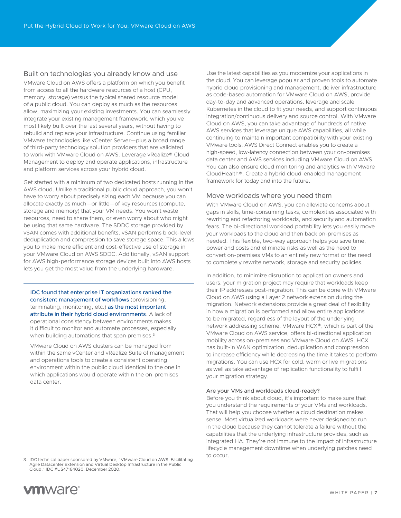#### <span id="page-6-0"></span>Built on technologies you already know and use

VMware Cloud on AWS offers a platform on which you benefit from access to all the hardware resources of a host (CPU, memory, storage) versus the typical shared resource model of a public cloud. You can deploy as much as the resources allow, maximizing your existing investments. You can seamlessly integrate your existing management framework, which you've most likely built over the last several years, without having to rebuild and replace your infrastructure. Continue using familiar VMware technologies like vCenter Server—plus a broad range of third-party technology solution providers that are validated to work with VMware Cloud on AWS. Leverage vRealize® Cloud Management to deploy and operate applications, infrastructure and platform services across your hybrid cloud.

Get started with a minimum of two dedicated hosts running in the AWS cloud. Unlike a traditional public cloud approach, you won't have to worry about precisely sizing each VM because you can allocate exactly as much—or little—of key resources (compute, storage and memory) that your VM needs. You won't waste resources, need to share them, or even worry about who might be using that same hardware. The SDDC storage provided by vSAN comes with additional benefits. vSAN performs block‑level deduplication and compression to save storage space. This allows you to make more efficient and cost-effective use of storage in your VMware Cloud on AWS SDDC. Additionally, vSAN support for AWS high-performance storage devices built into AWS hosts lets you get the most value from the underlying hardware.

IDC found that enterprise IT organizations ranked the consistent management of workflows (provisioning, terminating, monitoring, etc.) as the most important attribute in their hybrid cloud environments. A lack of operational consistency between environments makes it difficult to monitor and automate processes, especially when building automations that span premises.<sup>3</sup>

VMware Cloud on AWS clusters can be managed from within the same vCenter and vRealize Suite of management and operations tools to create a consistent operating environment within the public cloud identical to the one in which applications would operate within the on-premises data center.

Use the latest capabilities as you modernize your applications in the cloud. You can leverage popular and proven tools to automate hybrid cloud provisioning and management, deliver infrastructure as code-based automation for VMware Cloud on AWS, provide day‑to‑day and advanced operations, leverage and scale Kubernetes in the cloud to fit your needs, and support continuous integration/continuous delivery and source control. With VMware Cloud on AWS, you can take advantage of hundreds of native AWS services that leverage unique AWS capabilities, all while continuing to maintain important compatibility with your existing VMware tools. AWS Direct Connect enables you to create a high-speed, low-latency connection between your on-premises data center and AWS services including VMware Cloud on AWS. You can also ensure cloud monitoring and analytics with VMware CloudHealth®. Create a hybrid cloud‑enabled management framework for today and into the future.

#### Move workloads where you need them

With VMware Cloud on AWS, you can alleviate concerns about gaps in skills, time-consuming tasks, complexities associated with rewriting and refactoring workloads, and security and automation fears. The bi-directional workload portability lets you easily move your workloads to the cloud and then back on‑premises as needed. This flexible, two‑way approach helps you save time, power and costs and eliminate risks as well as the need to convert on‑premises VMs to an entirely new format or the need to completely rewrite network, storage and security policies.

In addition, to minimize disruption to application owners and users, your migration project may require that workloads keep their IP addresses post-migration. This can be done with VMware Cloud on AWS using a Layer 2 network extension during the migration. Network extensions provide a great deal of flexibility in how a migration is performed and allow entire applications to be migrated, regardless of the layout of the underlying network addressing scheme. VMware HCX®, which is part of the VMware Cloud on AWS service, offers bi‑directional application mobility across on‑premises and VMware Cloud on AWS. HCX has built-in WAN optimization, deduplication and compression to increase efficiency while decreasing the time it takes to perform migrations. You can use HCX for cold, warm or live migrations as well as take advantage of replication functionality to fulfill your migration strategy.

#### Are your VMs and workloads cloud-ready?

Before you think about cloud, it's important to make sure that you understand the requirements of your VMs and workloads. That will help you choose whether a cloud destination makes sense. Most virtualized workloads were never designed to run in the cloud because they cannot tolerate a failure without the capabilities that the underlying infrastructure provides, such as integrated HA. They're not immune to the impact of infrastructure lifecycle management downtime when underlying patches need to occur.

3. IDC technical paper sponsored by VMware, "VMware Cloud on AWS: Facilitating Agile Datacenter Extension and Virtual Desktop Infrastructure in the Public Cloud," IDC #US47164020, December 2020.

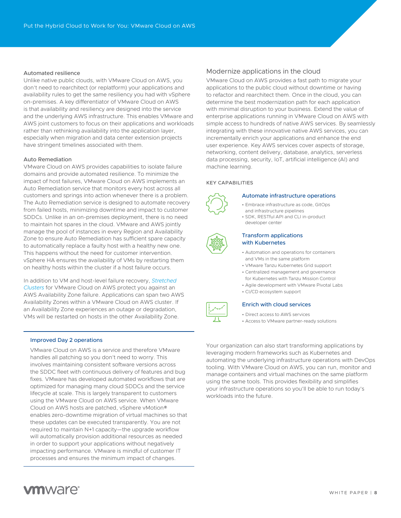#### <span id="page-7-0"></span>Automated resilience

Unlike native public clouds, with VMware Cloud on AWS, you don't need to rearchitect (or replatform) your applications and availability rules to get the same resiliency you had with vSphere on‑premises. A key differentiator of VMware Cloud on AWS is that availability and resiliency are designed into the service and the underlying AWS infrastructure. This enables VMware and AWS joint customers to focus on their applications and workloads rather than rethinking availability into the application layer, especially when migration and data center extension projects have stringent timelines associated with them.

#### Auto Remediation

VMware Cloud on AWS provides capabilities to isolate failure domains and provide automated resilience. To minimize the impact of host failures, VMware Cloud on AWS implements an Auto Remediation service that monitors every host across all customers and springs into action whenever there is a problem. The Auto Remediation service is designed to automate recovery from failed hosts, minimizing downtime and impact to customer SDDCs. Unlike in an on‑premises deployment, there is no need to maintain hot spares in the cloud. VMware and AWS jointly manage the pool of instances in every Region and Availability Zone to ensure Auto Remediation has sufficient spare capacity to automatically replace a faulty host with a healthy new one. This happens without the need for customer intervention. vSphere HA ensures the availability of VMs by restarting them on healthy hosts within the cluster if a host failure occurs.

In addition to VM and host‑level failure recovery, *[Stretched](https://vmc.techzone.vmware.com/resource/feature-brief-stretched-clusters)  [Clusters](https://vmc.techzone.vmware.com/resource/feature-brief-stretched-clusters)* for VMware Cloud on AWS protect you against an AWS Availability Zone failure. Applications can span two AWS Availability Zones within a VMware Cloud on AWS cluster. If an Availability Zone experiences an outage or degradation, VMs will be restarted on hosts in the other Availability Zone.

#### Improved Day 2 operations

VMware Cloud on AWS is a service and therefore VMware handles all patching so you don't need to worry. This involves maintaining consistent software versions across the SDDC fleet with continuous delivery of features and bug fixes. VMware has developed automated workflows that are optimized for managing many cloud SDDCs and the service lifecycle at scale. This is largely transparent to customers using the VMware Cloud on AWS service. When VMware Cloud on AWS hosts are patched, vSphere vMotion® enables zero‑downtime migration of virtual machines so that these updates can be executed transparently. You are not required to maintain N+1 capacity—the upgrade workflow will automatically provision additional resources as needed in order to support your applications without negatively impacting performance. VMware is mindful of customer IT processes and ensures the minimum impact of changes.

#### Modernize applications in the cloud

VMware Cloud on AWS provides a fast path to migrate your applications to the public cloud without downtime or having to refactor and rearchitect them. Once in the cloud, you can determine the best modernization path for each application with minimal disruption to your business. Extend the value of enterprise applications running in VMware Cloud on AWS with simple access to hundreds of native AWS services. By seamlessly integrating with these innovative native AWS services, you can incrementally enrich your applications and enhance the end user experience. Key AWS services cover aspects of storage, networking, content delivery, database, analytics, serverless data processing, security, IoT, artificial intelligence (AI) and machine learning.

#### KEY CAPABILITIES





#### Automate infrastructure operations

- Embrace infrastructure as code, GitOps
- and infrastructure pipelines • SDK, RESTful API and CLI in‑product developer center



#### Transform applications with Kubernetes

- Automation and operations for containers and VMs in the same platform
- VMware Tanzu Kubernetes Grid support
- Centralized management and governance for Kubernetes with Tanzu Mission Control
- Agile development with VMware Pivotal Labs
- CI/CD ecosystem support

#### Enrich with cloud services

- Direct access to AWS services
- Access to VMware partner‑ready solutions

Your organization can also start transforming applications by leveraging modern frameworks such as Kubernetes and automating the underlying infrastructure operations with DevOps tooling. With VMware Cloud on AWS, you can run, monitor and manage containers and virtual machines on the same platform using the same tools. This provides flexibility and simplifies your infrastructure operations so you'll be able to run today's workloads into the future.

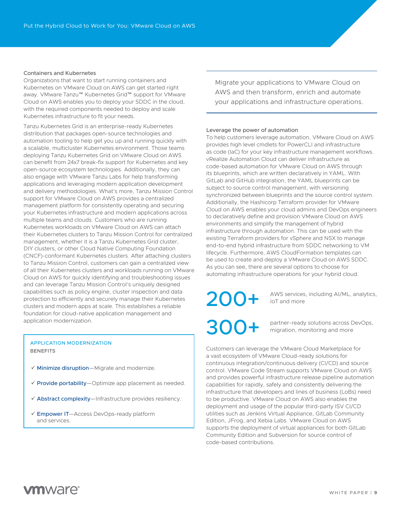#### Containers and Kubernetes

Organizations that want to start running containers and Kubernetes on VMware Cloud on AWS can get started right away. VMware Tanzu™ Kubernetes Grid™ support for VMware Cloud on AWS enables you to deploy your SDDC in the cloud, with the required components needed to deploy and scale Kubernetes infrastructure to fit your needs.

Tanzu Kubernetes Grid is an enterprise‑ready Kubernetes distribution that packages open‑source technologies and automation tooling to help get you up and running quickly with a scalable, multicluster Kubernetes environment. Those teams deploying Tanzu Kubernetes Grid on VMware Cloud on AWS can benefit from 24x7 break-fix support for Kubernetes and key open‑source ecosystem technologies. Additionally, they can also engage with VMware Tanzu Labs for help transforming applications and leveraging modern application development and delivery methodologies. What's more, Tanzu Mission Control support for VMware Cloud on AWS provides a centralized management platform for consistently operating and securing your Kubernetes infrastructure and modern applications across multiple teams and clouds. Customers who are running Kubernetes workloads on VMware Cloud on AWS can attach their Kubernetes clusters to Tanzu Mission Control for centralized management, whether it is a Tanzu Kubernetes Grid cluster, DIY clusters, or other Cloud Native Computing Foundation (CNCF)‑conformant Kubernetes clusters. After attaching clusters to Tanzu Mission Control, customers can gain a centralized view of all their Kubernetes clusters and workloads running on VMware Cloud on AWS for quickly identifying and troubleshooting issues and can leverage Tanzu Mission Control's uniquely designed capabilities such as policy engine, cluster inspection and data protection to efficiently and securely manage their Kubernetes clusters and modern apps at scale. This establishes a reliable foundation for cloud-native application management and application modernization.

#### APPLICATION MODERNIZATION BENEFITS

- $\checkmark$  Minimize disruption—Migrate and modernize.
- $\checkmark$  Provide portability—Optimize app placement as needed.
- $\checkmark$  Abstract complexity—Infrastructure provides resiliency.
- Gempower IT-Access DevOps-ready platform and services.

Migrate your applications to VMware Cloud on AWS and then transform, enrich and automate your applications and infrastructure operations.

#### Leverage the power of automation

To help customers leverage automation, VMware Cloud on AWS provides high level cmdlets for PowerCLI and infrastructure as code (IaC) for your key infrastructure management workflows. vRealize Automation Cloud can deliver infrastructure as code‑based automation for VMware Cloud on AWS through its blueprints, which are written declaratively in YAML. With GitLab and GitHub integration, the YAML blueprints can be subject to source control management, with versioning synchronized between blueprints and the source control system. Additionally, the Hashicorp Terraform provider for VMware Cloud on AWS enables your cloud admins and DevOps engineers to declaratively define and provision VMware Cloud on AWS environments and simplify the management of hybrid infrastructure through automation. This can be used with the existing Terraform providers for vSphere and NSX to manage end-to-end hybrid infrastructure from SDDC networking to VM lifecycle. Furthermore, AWS CloudFormation templates can be used to create and deploy a VMware Cloud on AWS SDDC. As you can see, there are several options to choose for automating infrastructure operations for your hybrid cloud.

200+ AWS services, including AI/ML, analytics,

partner-ready solutions across DevOps, migration, monitoring and more

Customers can leverage the VMware Cloud Marketplace for a vast ecosystem of VMware Cloud‑ready solutions for continuous integration/continuous delivery (CI/CD) and source control. VMware Code Stream supports VMware Cloud on AWS and provides powerful infrastructure release pipeline automation capabilities for rapidly, safely and consistently delivering the infrastructure that developers and lines of business (LoBs) need to be productive. VMware Cloud on AWS also enables the deployment and usage of the popular third-party ISV CI/CD utilities such as Jenkins Virtual Appliance, GitLab Community Edition, JFrog, and Xebia Labs. VMware Cloud on AWS supports the deployment of virtual appliances for both GitLab Community Edition and Subversion for source control of code‑based contributions.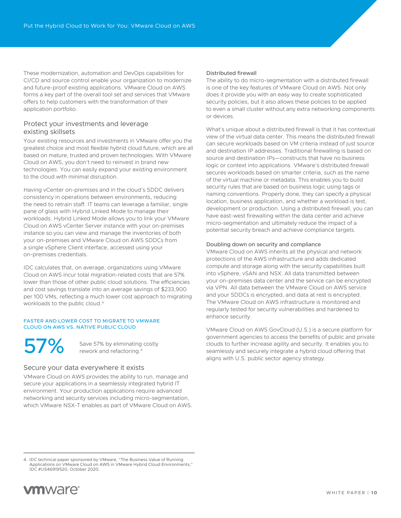<span id="page-9-0"></span>These modernization, automation and DevOps capabilities for CI/CD and source control enable your organization to modernize and future‑proof existing applications. VMware Cloud on AWS forms a key part of the overall tool set and services that VMware offers to help customers with the transformation of their application portfolio.

#### Protect your investments and leverage existing skillsets

Your existing resources and investments in VMware offer you the greatest choice and most flexible hybrid cloud future, which are all based on mature, trusted and proven technologies. With VMware Cloud on AWS, you don't need to reinvest in brand new technologies. You can easily expand your existing environment to the cloud with minimal disruption.

Having vCenter on‑premises and in the cloud's SDDC delivers consistency in operations between environments, reducing the need to retrain staff. IT teams can leverage a familiar, single pane of glass with Hybrid Linked Mode to manage their workloads. Hybrid Linked Mode allows you to link your VMware Cloud on AWS vCenter Server instance with your on‑premises instance so you can view and manage the inventories of both your on‑premises and VMware Cloud on AWS SDDCs from a single vSphere Client interface, accessed using your on‑premises credentials.

IDC calculates that, on average, organizations using VMware Cloud on AWS incur total migration‑related costs that are 57% lower than those of other public cloud solutions. The efficiencies and cost savings translate into an average savings of \$233,900 per 100 VMs, reflecting a much lower cost approach to migrating workloads to the public cloud.4

#### FASTER AND LOWER COST TO MIGRATE TO VMWARE CLOUD ON AWS VS. NATIVE PUBLIC CLOUD

Save 57% by eliminating costly Save 57% by eliminating<br>rework and refactoring.<sup>4</sup>

#### Secure your data everywhere it exists

VMware Cloud on AWS provides the ability to run, manage and secure your applications in a seamlessly integrated hybrid IT environment. Your production applications require advanced networking and security services including micro‑segmentation, which VMware NSX‑T enables as part of VMware Cloud on AWS.

#### Distributed firewall

The ability to do micro-segmentation with a distributed firewall is one of the key features of VMware Cloud on AWS. Not only does it provide you with an easy way to create sophisticated security policies, but it also allows these policies to be applied to even a small cluster without any extra networking components or devices.

What's unique about a distributed firewall is that it has contextual view of the virtual data center. This means the distributed firewall can secure workloads based on VM criteria instead of just source and destination IP addresses. Traditional firewalling is based on source and destination IPs—constructs that have no business logic or context into applications. VMware's distributed firewall secures workloads based on smarter criteria, such as the name of the virtual machine or metadata. This enables you to build security rules that are based on business logic using tags or naming conventions. Properly done, they can specify a physical location, business application, and whether a workload is test, development or production. Using a distributed firewall, you can have east-west firewalling within the data center and achieve micro‑segmentation and ultimately reduce the impact of a potential security breach and achieve compliance targets.

#### Doubling down on security and compliance

VMware Cloud on AWS inherits all the physical and network protections of the AWS infrastructure and adds dedicated compute and storage along with the security capabilities built into vSphere, vSAN and NSX. All data transmitted between your on-premises data center and the service can be encrypted via VPN. All data between the VMware Cloud on AWS service and your SDDCs is encrypted, and data at rest is encrypted. The VMware Cloud on AWS infrastructure is monitored and regularly tested for security vulnerabilities and hardened to enhance security.

VMware Cloud on AWS GovCloud (U.S.) is a secure platform for government agencies to access the benefits of public and private clouds to further increase agility and security. It enables you to seamlessly and securely integrate a hybrid cloud offering that aligns with U.S. public sector agency strategy.

<sup>4.</sup> IDC technical paper sponsored by VMware, "The Business Value of Running Applications on VMware Cloud on AWS in VMware Hybrid Cloud Environments," IDC #US46919520, October 2020.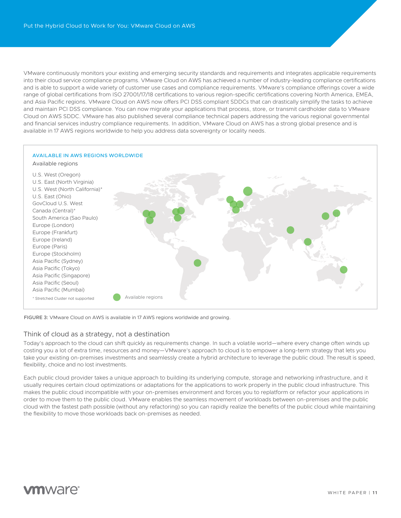<span id="page-10-0"></span>VMware continuously monitors your existing and emerging security standards and requirements and integrates applicable requirements into their cloud service compliance programs. VMware Cloud on AWS has achieved a number of industry-leading compliance certifications and is able to support a wide variety of customer use cases and compliance requirements. VMware's compliance offerings cover a wide range of global certifications from ISO 27001/17/18 certifications to various region-specific certifications covering North America, EMEA, and Asia Pacific regions. VMware Cloud on AWS now offers PCI DSS compliant SDDCs that can drastically simplify the tasks to achieve and maintain PCI DSS compliance. You can now migrate your applications that process, store, or transmit cardholder data to VMware Cloud on AWS SDDC. VMware has also published several compliance technical papers addressing the various regional governmental and financial services industry compliance requirements. In addition, VMware Cloud on AWS has a strong global presence and is available in 17 AWS regions worldwide to help you address data sovereignty or locality needs.



FIGURE 3: VMware Cloud on AWS is available in 17 AWS regions worldwide and growing.

#### Think of cloud as a strategy, not a destination

Today's approach to the cloud can shift quickly as requirements change. In such a volatile world—where every change often winds up costing you a lot of extra time, resources and money—VMware's approach to cloud is to empower a long-term strategy that lets you take your existing on-premises investments and seamlessly create a hybrid architecture to leverage the public cloud. The result is speed, flexibility, choice and no lost investments.

Each public cloud provider takes a unique approach to building its underlying compute, storage and networking infrastructure, and it usually requires certain cloud optimizations or adaptations for the applications to work properly in the public cloud infrastructure. This makes the public cloud incompatible with your on-premises environment and forces you to replatform or refactor your applications in order to move them to the public cloud. VMware enables the seamless movement of workloads between on‑premises and the public cloud with the fastest path possible (without any refactoring) so you can rapidly realize the benefits of the public cloud while maintaining the flexibility to move those workloads back on‑premises as needed.

# **vm**ware<sup>®</sup>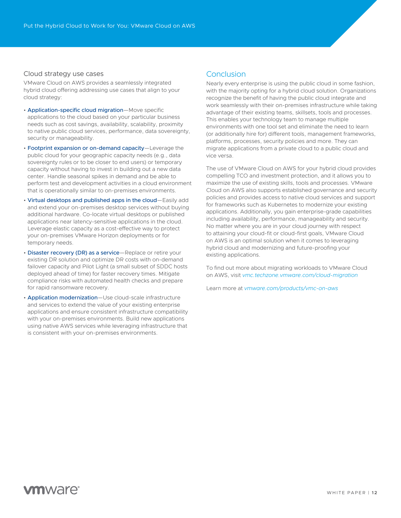#### <span id="page-11-0"></span>Cloud strategy use cases

VMware Cloud on AWS provides a seamlessly integrated hybrid cloud offering addressing use cases that align to your cloud strategy:

- Application-specific cloud migration-Move specific applications to the cloud based on your particular business needs such as cost savings, availability, scalability, proximity to native public cloud services, performance, data sovereignty, security or manageability.
- Footprint expansion or on-demand capacity-Leverage the public cloud for your geographic capacity needs (e.g., data sovereignty rules or to be closer to end users) or temporary capacity without having to invest in building out a new data center. Handle seasonal spikes in demand and be able to perform test and development activities in a cloud environment that is operationally similar to on‑premises environments.
- Virtual desktops and published apps in the cloud—Easily add and extend your on-premises desktop services without buying additional hardware. Co‑locate virtual desktops or published applications near latency‑sensitive applications in the cloud. Leverage elastic capacity as a cost-effective way to protect your on‑premises VMware Horizon deployments or for temporary needs.
- Disaster recovery (DR) as a service-Replace or retire your existing DR solution and optimize DR costs with on‑demand failover capacity and Pilot Light (a small subset of SDDC hosts deployed ahead of time) for faster recovery times. Mitigate compliance risks with automated health checks and prepare for rapid ransomware recovery.
- Application modernization-Use cloud-scale infrastructure and services to extend the value of your existing enterprise applications and ensure consistent infrastructure compatibility with your on-premises environments. Build new applications using native AWS services while leveraging infrastructure that is consistent with your on‑premises environments.

### **Conclusion**

Nearly every enterprise is using the public cloud in some fashion, with the majority opting for a hybrid cloud solution. Organizations recognize the benefit of having the public cloud integrate and work seamlessly with their on-premises infrastructure while taking advantage of their existing teams, skillsets, tools and processes. This enables your technology team to manage multiple environments with one tool set and eliminate the need to learn (or additionally hire for) different tools, management frameworks, platforms, processes, security policies and more. They can migrate applications from a private cloud to a public cloud and vice versa.

The use of VMware Cloud on AWS for your hybrid cloud provides compelling TCO and investment protection, and it allows you to maximize the use of existing skills, tools and processes. VMware Cloud on AWS also supports established governance and security policies and provides access to native cloud services and support for frameworks such as Kubernetes to modernize your existing applications. Additionally, you gain enterprise‑grade capabilities including availability, performance, manageability and security. No matter where you are in your cloud journey with respect to attaining your cloud‑fit or cloud‑first goals, VMware Cloud on AWS is an optimal solution when it comes to leveraging hybrid cloud and modernizing and future‑proofing your existing applications.

To find out more about migrating workloads to VMware Cloud on AWS, visit *[vmc.techzone.vmware.com/cloud‑migration](https://vmc.techzone.vmware.com/cloud-migration)*

Learn more at *[vmware.com/products/vmc‑on‑aws](https://www.vmware.com/products/vmc-on-aws.html)*

# **vm**ware<sup>®</sup>